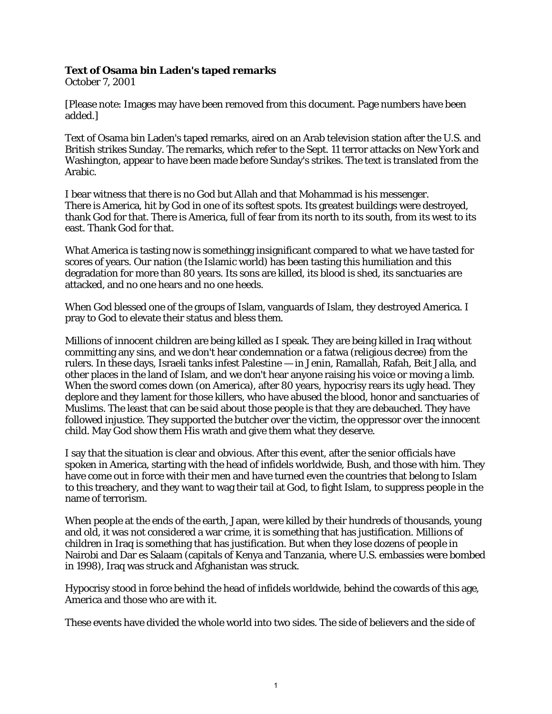## **Text of Osama bin Laden's taped remarks**

October 7, 2001

[Please note: Images may have been removed from this document. Page numbers have been added.]

Text of Osama bin Laden's taped remarks, aired on an Arab television station after the U.S. and British strikes Sunday. The remarks, which refer to the Sept. 11 terror attacks on New York and Washington, appear to have been made before Sunday's strikes. The text is translated from the Arabic.

I bear witness that there is no God but Allah and that Mohammad is his messenger. There is America, hit by God in one of its softest spots. Its greatest buildings were destroyed, thank God for that. There is America, full of fear from its north to its south, from its west to its east. Thank God for that.

What America is tasting now is somethingg insignificant compared to what we have tasted for scores of years. Our nation (the Islamic world) has been tasting this humiliation and this degradation for more than 80 years. Its sons are killed, its blood is shed, its sanctuaries are attacked, and no one hears and no one heeds.

When God blessed one of the groups of Islam, vanguards of Islam, they destroyed America. I pray to God to elevate their status and bless them.

Millions of innocent children are being killed as I speak. They are being killed in Iraq without committing any sins, and we don't hear condemnation or a fatwa (religious decree) from the rulers. In these days, Israeli tanks infest Palestine — in Jenin, Ramallah, Rafah, Beit Jalla, and other places in the land of Islam, and we don't hear anyone raising his voice or moving a limb. When the sword comes down (on America), after 80 years, hypocrisy rears its ugly head. They deplore and they lament for those killers, who have abused the blood, honor and sanctuaries of Muslims. The least that can be said about those people is that they are debauched. They have followed injustice. They supported the butcher over the victim, the oppressor over the innocent child. May God show them His wrath and give them what they deserve.

I say that the situation is clear and obvious. After this event, after the senior officials have spoken in America, starting with the head of infidels worldwide, Bush, and those with him. They have come out in force with their men and have turned even the countries that belong to Islam to this treachery, and they want to wag their tail at God, to fight Islam, to suppress people in the name of terrorism.

When people at the ends of the earth, Japan, were killed by their hundreds of thousands, young and old, it was not considered a war crime, it is something that has justification. Millions of children in Iraq is something that has justification. But when they lose dozens of people in Nairobi and Dar es Salaam (capitals of Kenya and Tanzania, where U.S. embassies were bombed in 1998), Iraq was struck and Afghanistan was struck.

Hypocrisy stood in force behind the head of infidels worldwide, behind the cowards of this age, America and those who are with it.

These events have divided the whole world into two sides. The side of believers and the side of